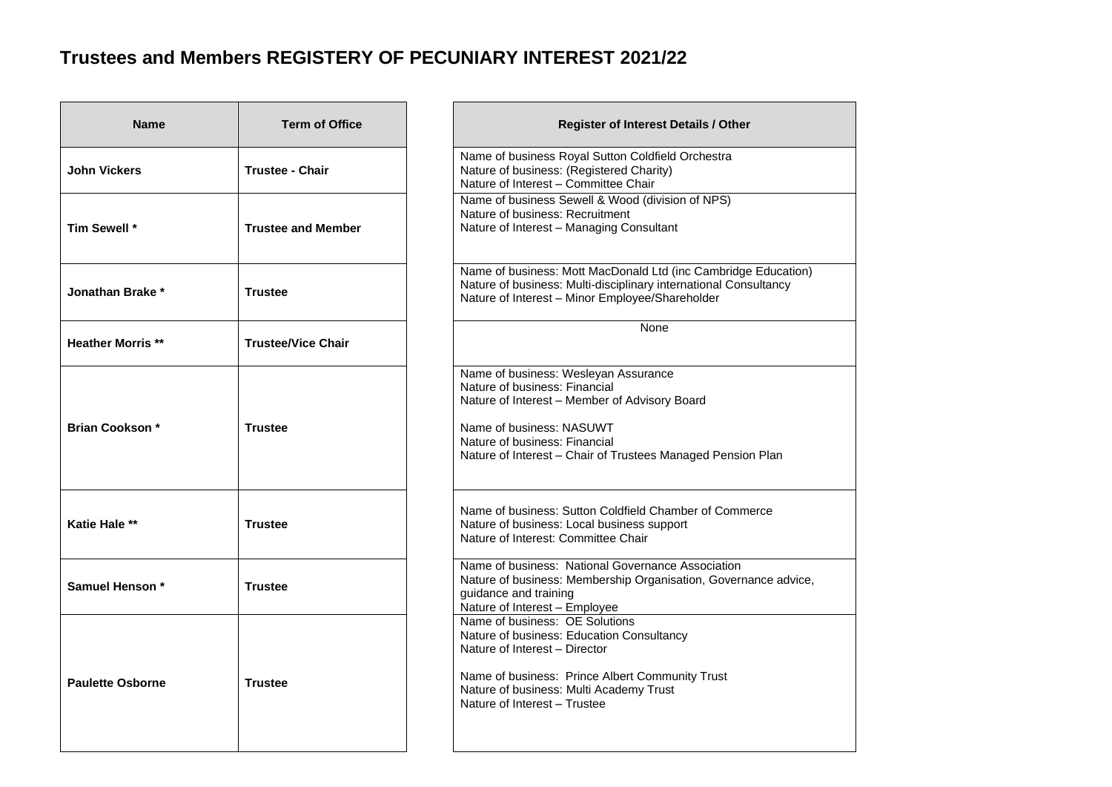## **Trustees and Members REGISTERY OF PECUNIARY INTEREST 2021/22**

| <b>Name</b>             | <b>Term of Office</b>     | Register of Interest Details / Other                                                                                                                                                                                                               |
|-------------------------|---------------------------|----------------------------------------------------------------------------------------------------------------------------------------------------------------------------------------------------------------------------------------------------|
| John Vickers            | <b>Trustee - Chair</b>    | Name of business Royal Sutton Coldfield Orchestra<br>Nature of business: (Registered Charity)<br>Nature of Interest - Committee Chair                                                                                                              |
| Tim Sewell *            | <b>Trustee and Member</b> | Name of business Sewell & Wood (division of NPS)<br>Nature of business: Recruitment<br>Nature of Interest - Managing Consultant                                                                                                                    |
| Jonathan Brake *        | <b>Trustee</b>            | Name of business: Mott MacDonald Ltd (inc Cambridge Education)<br>Nature of business: Multi-disciplinary international Consultancy<br>Nature of Interest - Minor Employee/Shareholder                                                              |
| <b>Heather Morris**</b> | <b>Trustee/Vice Chair</b> | None                                                                                                                                                                                                                                               |
| <b>Brian Cookson *</b>  | <b>Trustee</b>            | Name of business: Wesleyan Assurance<br>Nature of business: Financial<br>Nature of Interest - Member of Advisory Board<br>Name of business: NASUWT<br>Nature of business: Financial<br>Nature of Interest - Chair of Trustees Managed Pension Plan |
| <b>Katie Hale **</b>    | <b>Trustee</b>            | Name of business: Sutton Coldfield Chamber of Commerce<br>Nature of business: Local business support<br>Nature of Interest: Committee Chair                                                                                                        |
| Samuel Henson *         | <b>Trustee</b>            | Name of business: National Governance Association<br>Nature of business: Membership Organisation, Governance advice,<br>guidance and training<br>Nature of Interest - Employee                                                                     |
| <b>Paulette Osborne</b> | <b>Trustee</b>            | Name of business: OE Solutions<br>Nature of business: Education Consultancy<br>Nature of Interest - Director<br>Name of business: Prince Albert Community Trust<br>Nature of business: Multi Academy Trust<br>Nature of Interest - Trustee         |